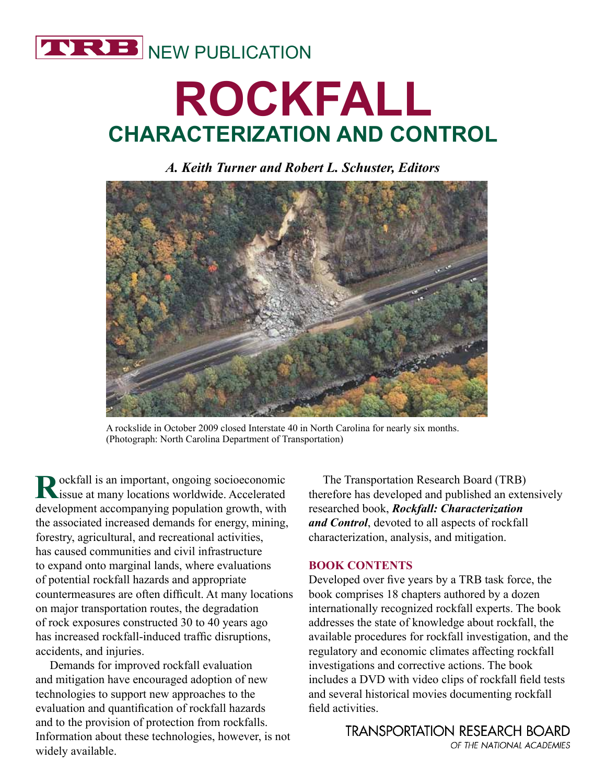

# **ROCKFALL CHARACTERIZATION AND CONTROL**

## *A. Keith Turner and Robert L. Schuster, Editors*



A rockslide in October 2009 closed Interstate 40 in North Carolina for nearly six months. (Photograph: North Carolina Department of Transportation)

**R**ockfall is an important, ongoing socioeconomic issue at many locations worldwide. Accelerated development accompanying population growth, with the associated increased demands for energy, mining, forestry, agricultural, and recreational activities, has caused communities and civil infrastructure to expand onto marginal lands, where evaluations of potential rockfall hazards and appropriate countermeasures are often difficult. At many locations on major transportation routes, the degradation of rock exposures constructed 30 to 40 years ago has increased rockfall-induced traffic disruptions, accidents, and injuries.

Demands for improved rockfall evaluation and mitigation have encouraged adoption of new technologies to support new approaches to the evaluation and quantification of rockfall hazards and to the provision of protection from rockfalls. Information about these technologies, however, is not widely available.

The Transportation Research Board (TRB) therefore has developed and published an extensively researched book, *Rockfall: Characterization and Control*, devoted to all aspects of rockfall characterization, analysis, and mitigation.

## **BOOK CONTENTS**

Developed over five years by a TRB task force, the book comprises 18 chapters authored by a dozen internationally recognized rockfall experts. The book addresses the state of knowledge about rockfall, the available procedures for rockfall investigation, and the regulatory and economic climates affecting rockfall investigations and corrective actions. The book includes a DVD with video clips of rockfall field tests and several historical movies documenting rockfall field activities.

> **TRANSPORTATION RESEARCH BOARD** OF THE NATIONAL ACADEMIES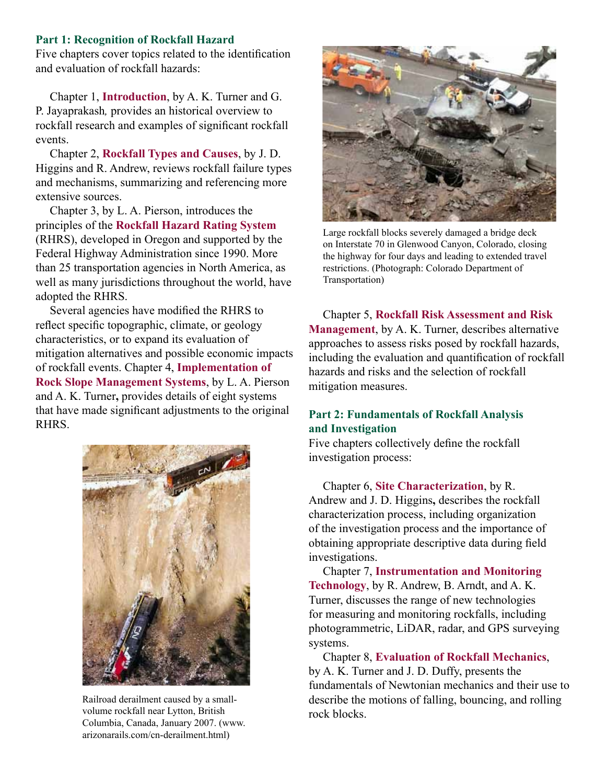#### **Part 1: Recognition of Rockfall Hazard**

Five chapters cover topics related to the identification and evaluation of rockfall hazards:

Chapter 1, **Introduction**, by A. K. Turner and G. P. Jayaprakash*,* provides an historical overview to rockfall research and examples of significant rockfall events.

Chapter 2, **Rockfall Types and Causes**, by J. D. Higgins and R. Andrew, reviews rockfall failure types and mechanisms, summarizing and referencing more extensive sources.

Chapter 3, by L. A. Pierson, introduces the principles of the **Rockfall Hazard Rating System** (RHRS), developed in Oregon and supported by the Federal Highway Administration since 1990. More than 25 transportation agencies in North America, as well as many jurisdictions throughout the world, have adopted the RHRS.

Several agencies have modified the RHRS to reflect specific topographic, climate, or geology characteristics, or to expand its evaluation of mitigation alternatives and possible economic impacts of rockfall events. Chapter 4, **Implementation of Rock Slope Management Systems**, by L. A. Pierson and A. K. Turner**,** provides details of eight systems that have made significant adjustments to the original RHRS.



Railroad derailment caused by a smallvolume rockfall near Lytton, British Columbia, Canada, January 2007. (www. arizonarails.com/cn-derailment.html)



Large rockfall blocks severely damaged a bridge deck on Interstate 70 in Glenwood Canyon, Colorado, closing the highway for four days and leading to extended travel restrictions. (Photograph: Colorado Department of Transportation)

Chapter 5, **Rockfall Risk Assessment and Risk Management**, by A. K. Turner, describes alternative approaches to assess risks posed by rockfall hazards, including the evaluation and quantification of rockfall hazards and risks and the selection of rockfall mitigation measures.

## **Part 2: Fundamentals of Rockfall Analysis and Investigation**

Five chapters collectively define the rockfall investigation process:

Chapter 6, **Site Characterization**, by R. Andrew and J. D. Higgins**,** describes the rockfall characterization process, including organization of the investigation process and the importance of obtaining appropriate descriptive data during field investigations.

Chapter 7, **Instrumentation and Monitoring Technology**, by R. Andrew, B. Arndt, and A. K. Turner, discusses the range of new technologies for measuring and monitoring rockfalls, including photogrammetric, LiDAR, radar, and GPS surveying systems.

Chapter 8, **Evaluation of Rockfall Mechanics**, by A. K. Turner and J. D. Duffy, presents the fundamentals of Newtonian mechanics and their use to describe the motions of falling, bouncing, and rolling rock blocks.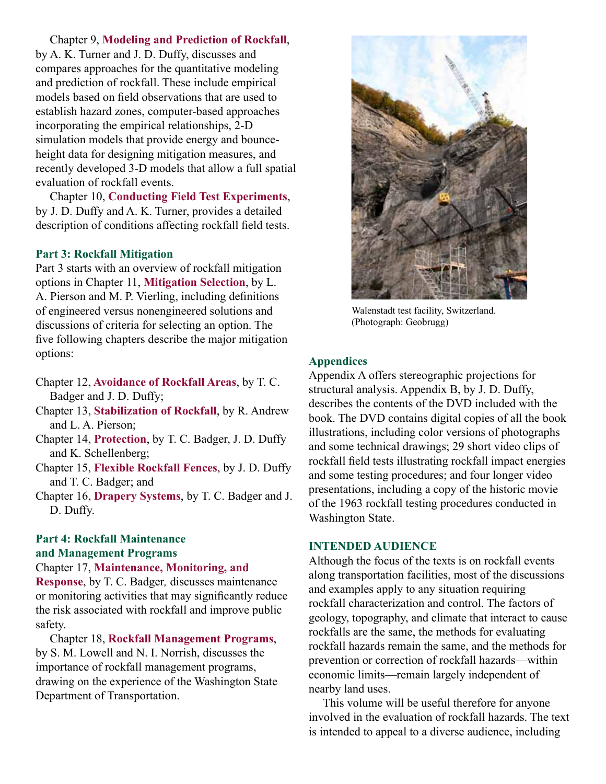Chapter 9, **Modeling and Prediction of Rockfall**,

by A. K. Turner and J. D. Duffy, discusses and compares approaches for the quantitative modeling and prediction of rockfall. These include empirical models based on field observations that are used to establish hazard zones, computer-based approaches incorporating the empirical relationships, 2-D simulation models that provide energy and bounceheight data for designing mitigation measures, and recently developed 3-D models that allow a full spatial evaluation of rockfall events.

Chapter 10, **Conducting Field Test Experiments**, by J. D. Duffy and A. K. Turner, provides a detailed description of conditions affecting rockfall field tests.

## **Part 3: Rockfall Mitigation**

Part 3 starts with an overview of rockfall mitigation options in Chapter 11, **Mitigation Selection**, by L. A. Pierson and M. P. Vierling, including definitions of engineered versus nonengineered solutions and discussions of criteria for selecting an option. The five following chapters describe the major mitigation options:

- Chapter 12, **Avoidance of Rockfall Areas**, by T. C. Badger and J. D. Duffy;
- Chapter 13, **Stabilization of Rockfall**, by R. Andrew and L. A. Pierson;
- Chapter 14, **Protection**, by T. C. Badger, J. D. Duffy and K. Schellenberg;
- Chapter 15, **Flexible Rockfall Fences**, by J. D. Duffy and T. C. Badger; and
- Chapter 16, **Drapery Systems**, by T. C. Badger and J. D. Duffy.

## **Part 4: Rockfall Maintenance and Management Programs**

## Chapter 17, **Maintenance, Monitoring, and**

**Response**, by T. C. Badger*,* discusses maintenance or monitoring activities that may significantly reduce the risk associated with rockfall and improve public safety.

Chapter 18, **Rockfall Management Programs**, by S. M. Lowell and N. I. Norrish, discusses the importance of rockfall management programs, drawing on the experience of the Washington State Department of Transportation.



Walenstadt test facility, Switzerland. (Photograph: Geobrugg)

## **Appendices**

Appendix A offers stereographic projections for structural analysis. Appendix B, by J. D. Duffy, describes the contents of the DVD included with the book. The DVD contains digital copies of all the book illustrations, including color versions of photographs and some technical drawings; 29 short video clips of rockfall field tests illustrating rockfall impact energies and some testing procedures; and four longer video presentations, including a copy of the historic movie of the 1963 rockfall testing procedures conducted in Washington State.

## **INTENDED AUDIENCE**

Although the focus of the texts is on rockfall events along transportation facilities, most of the discussions and examples apply to any situation requiring rockfall characterization and control. The factors of geology, topography, and climate that interact to cause rockfalls are the same, the methods for evaluating rockfall hazards remain the same, and the methods for prevention or correction of rockfall hazards—within economic limits—remain largely independent of nearby land uses.

This volume will be useful therefore for anyone involved in the evaluation of rockfall hazards. The text is intended to appeal to a diverse audience, including